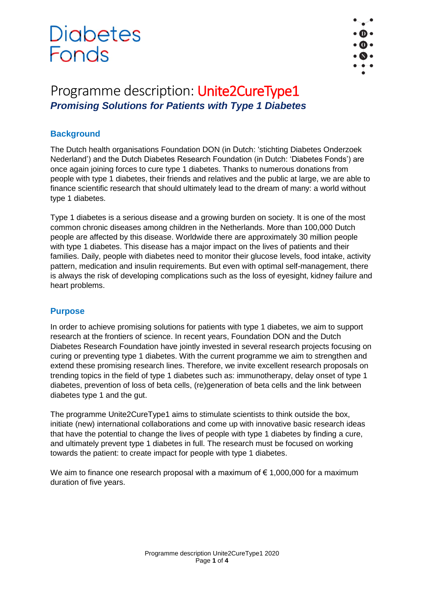

### Programme description: Unite2CureType1 *Promising Solutions for Patients with Type 1 Diabetes*

#### **Background**

The Dutch health organisations Foundation DON (in Dutch: 'stichting Diabetes Onderzoek Nederland') and the Dutch Diabetes Research Foundation (in Dutch: 'Diabetes Fonds') are once again joining forces to cure type 1 diabetes. Thanks to numerous donations from people with type 1 diabetes, their friends and relatives and the public at large, we are able to finance scientific research that should ultimately lead to the dream of many: a world without type 1 diabetes.

Type 1 diabetes is a serious disease and a growing burden on society. It is one of the most common chronic diseases among children in the Netherlands. More than 100,000 Dutch people are affected by this disease. Worldwide there are approximately 30 million people with type 1 diabetes. This disease has a major impact on the lives of patients and their families. Daily, people with diabetes need to monitor their glucose levels, food intake, activity pattern, medication and insulin requirements. But even with optimal self-management, there is always the risk of developing complications such as the loss of eyesight, kidney failure and heart problems.

#### **Purpose**

In order to achieve promising solutions for patients with type 1 diabetes, we aim to support research at the frontiers of science. In recent years, Foundation DON and the Dutch Diabetes Research Foundation have jointly invested in several research projects focusing on curing or preventing type 1 diabetes. With the current programme we aim to strengthen and extend these promising research lines. Therefore, we invite excellent research proposals on trending topics in the field of type 1 diabetes such as: immunotherapy, delay onset of type 1 diabetes, prevention of loss of beta cells, (re)generation of beta cells and the link between diabetes type 1 and the gut.

The programme Unite2CureType1 aims to stimulate scientists to think outside the box, initiate (new) international collaborations and come up with innovative basic research ideas that have the potential to change the lives of people with type 1 diabetes by finding a cure, and ultimately prevent type 1 diabetes in full. The research must be focused on working towards the patient: to create impact for people with type 1 diabetes.

We aim to finance one research proposal with a maximum of  $\epsilon$  1,000,000 for a maximum duration of five years.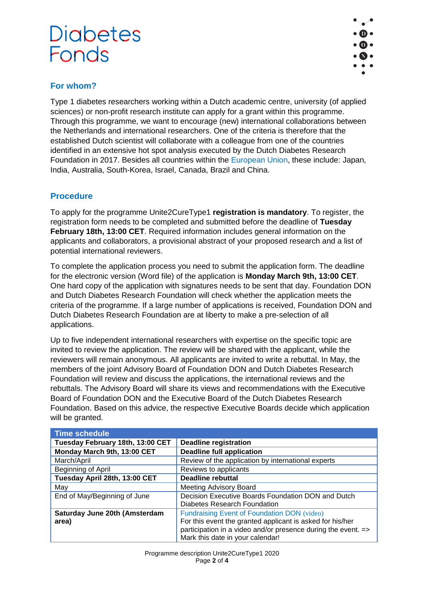

#### **For whom?**

Type 1 diabetes researchers working within a Dutch academic centre, university (of applied sciences) or non-profit research institute can apply for a grant within this programme. Through this programme, we want to encourage (new) international collaborations between the Netherlands and international researchers. One of the criteria is therefore that the established Dutch scientist will collaborate with a colleague from one of the countries identified in an extensive hot spot analysis executed by the Dutch Diabetes Research Foundation in 2017. Besides all countries within the [European Union,](https://europa.eu/european-union/about-eu/countries_en) these include: Japan, India, Australia, South-Korea, Israel, Canada, Brazil and China.

#### **Procedure**

To apply for the programme Unite2CureType1 **registration is mandatory**. To register, the registration form needs to be completed and submitted before the deadline of **Tuesday February 18th, 13:00 CET**. Required information includes general information on the applicants and collaborators, a provisional abstract of your proposed research and a list of potential international reviewers.

To complete the application process you need to submit the application form. The deadline for the electronic version (Word file) of the application is **Monday March 9th, 13:00 CET**. One hard copy of the application with signatures needs to be sent that day. Foundation DON and Dutch Diabetes Research Foundation will check whether the application meets the criteria of the programme. If a large number of applications is received, Foundation DON and Dutch Diabetes Research Foundation are at liberty to make a pre-selection of all applications.

Up to five independent international researchers with expertise on the specific topic are invited to review the application. The review will be shared with the applicant, while the reviewers will remain anonymous. All applicants are invited to write a rebuttal. In May, the members of the joint Advisory Board of Foundation DON and Dutch Diabetes Research Foundation will review and discuss the applications, the international reviews and the rebuttals. The Advisory Board will share its views and recommendations with the Executive Board of Foundation DON and the Executive Board of the Dutch Diabetes Research Foundation. Based on this advice, the respective Executive Boards decide which application will be granted.

| <b>Time schedule</b>             |                                                               |
|----------------------------------|---------------------------------------------------------------|
| Tuesday February 18th, 13:00 CET | <b>Deadline registration</b>                                  |
| Monday March 9th, 13:00 CET      | <b>Deadline full application</b>                              |
| March/April                      | Review of the application by international experts            |
| Beginning of April               | Reviews to applicants                                         |
| Tuesday April 28th, 13:00 CET    | <b>Deadline rebuttal</b>                                      |
| May                              | <b>Meeting Advisory Board</b>                                 |
| End of May/Beginning of June     | Decision Executive Boards Foundation DON and Dutch            |
|                                  | Diabetes Research Foundation                                  |
| Saturday June 20th (Amsterdam    | Fundraising Event of Foundation DON (video)                   |
| area)                            | For this event the granted applicant is asked for his/her     |
|                                  | participation in a video and/or presence during the event. => |
|                                  | Mark this date in your calendar!                              |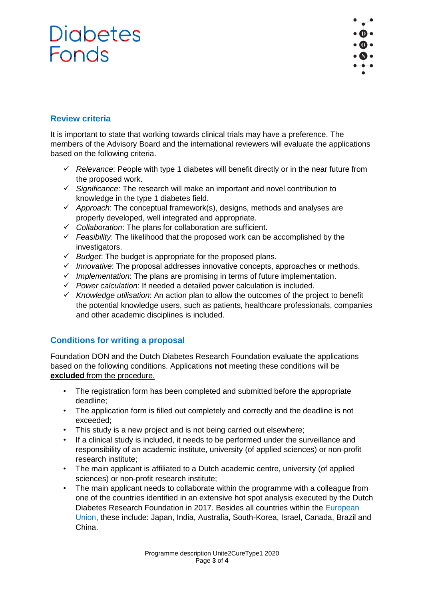

### **Review criteria**

It is important to state that working towards clinical trials may have a preference. The members of the Advisory Board and the international reviewers will evaluate the applications based on the following criteria.

- ✓ *Relevance*: People with type 1 diabetes will benefit directly or in the near future from the proposed work.
- ✓ *Significance*: The research will make an important and novel contribution to knowledge in the type 1 diabetes field.
- ✓ *Approach*: The conceptual framework(s), designs, methods and analyses are properly developed, well integrated and appropriate.
- ✓ *Collaboration*: The plans for collaboration are sufficient.
- ✓ *Feasibility*: The likelihood that the proposed work can be accomplished by the investigators.
- ✓ *Budget*: The budget is appropriate for the proposed plans.
- ✓ *Innovative*: The proposal addresses innovative concepts, approaches or methods.
- ✓ *Implementation*: The plans are promising in terms of future implementation.
- ✓ *Power calculation*: If needed a detailed power calculation is included.
- ✓ *Knowledge utilisation*: An action plan to allow the outcomes of the project to benefit the potential knowledge users, such as patients, healthcare professionals, companies and other academic disciplines is included.

#### **Conditions for writing a proposal**

Foundation DON and the Dutch Diabetes Research Foundation evaluate the applications based on the following conditions. Applications **not** meeting these conditions will be **excluded** from the procedure.

- The registration form has been completed and submitted before the appropriate deadline;
- The application form is filled out completely and correctly and the deadline is not exceeded;
- This study is a new project and is not being carried out elsewhere;
- If a clinical study is included, it needs to be performed under the surveillance and responsibility of an academic institute, university (of applied sciences) or non-profit research institute;
- The main applicant is affiliated to a Dutch academic centre, university (of applied sciences) or non-profit research institute;
- The main applicant needs to collaborate within the programme with a colleague from one of the countries identified in an extensive hot spot analysis executed by the Dutch Diabetes Research Foundation in 2017. Besides all countries within the [European](https://europa.eu/european-union/about-eu/countries_en)  [Union,](https://europa.eu/european-union/about-eu/countries_en) these include: Japan, India, Australia, South-Korea, Israel, Canada, Brazil and China.